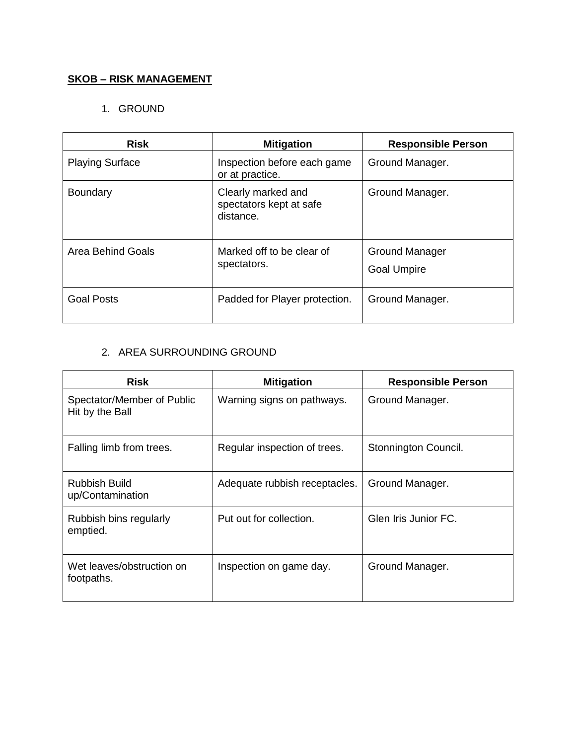## **SKOB – RISK MANAGEMENT**

### 1. GROUND

| <b>Risk</b>            | <b>Mitigation</b>                                          | <b>Responsible Person</b>                   |
|------------------------|------------------------------------------------------------|---------------------------------------------|
| <b>Playing Surface</b> | Inspection before each game<br>or at practice.             | Ground Manager.                             |
| Boundary               | Clearly marked and<br>spectators kept at safe<br>distance. | Ground Manager.                             |
| Area Behind Goals      | Marked off to be clear of<br>spectators.                   | <b>Ground Manager</b><br><b>Goal Umpire</b> |
| <b>Goal Posts</b>      | Padded for Player protection.                              | Ground Manager.                             |

### 2. AREA SURROUNDING GROUND

| <b>Risk</b>                                   | <b>Mitigation</b>             | <b>Responsible Person</b> |
|-----------------------------------------------|-------------------------------|---------------------------|
| Spectator/Member of Public<br>Hit by the Ball | Warning signs on pathways.    | Ground Manager.           |
| Falling limb from trees.                      | Regular inspection of trees.  | Stonnington Council.      |
| <b>Rubbish Build</b><br>up/Contamination      | Adequate rubbish receptacles. | Ground Manager.           |
| Rubbish bins regularly<br>emptied.            | Put out for collection.       | Glen Iris Junior FC.      |
| Wet leaves/obstruction on<br>footpaths.       | Inspection on game day.       | Ground Manager.           |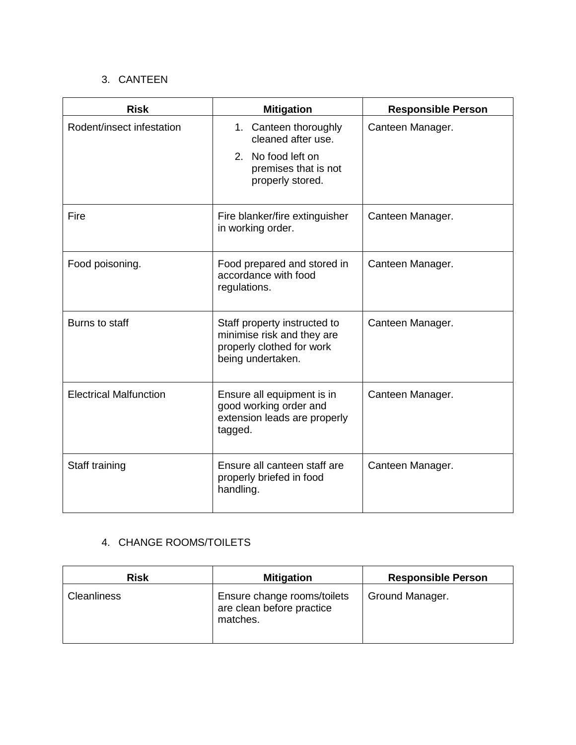# 3. CANTEEN

| <b>Risk</b>                   | <b>Mitigation</b>                                                                                            | <b>Responsible Person</b> |
|-------------------------------|--------------------------------------------------------------------------------------------------------------|---------------------------|
| Rodent/insect infestation     | 1. Canteen thoroughly<br>cleaned after use.                                                                  | Canteen Manager.          |
|                               | 2. No food left on<br>premises that is not<br>properly stored.                                               |                           |
| Fire                          | Fire blanker/fire extinguisher<br>in working order.                                                          | Canteen Manager.          |
| Food poisoning.               | Food prepared and stored in<br>accordance with food<br>regulations.                                          | Canteen Manager.          |
| Burns to staff                | Staff property instructed to<br>minimise risk and they are<br>properly clothed for work<br>being undertaken. | Canteen Manager.          |
| <b>Electrical Malfunction</b> | Ensure all equipment is in<br>good working order and<br>extension leads are properly<br>tagged.              | Canteen Manager.          |
| Staff training                | Ensure all canteen staff are<br>properly briefed in food<br>handling.                                        | Canteen Manager.          |

## 4. CHANGE ROOMS/TOILETS

| <b>Risk</b>        | <b>Mitigation</b>                                                    | <b>Responsible Person</b> |
|--------------------|----------------------------------------------------------------------|---------------------------|
| <b>Cleanliness</b> | Ensure change rooms/toilets<br>are clean before practice<br>matches. | Ground Manager.           |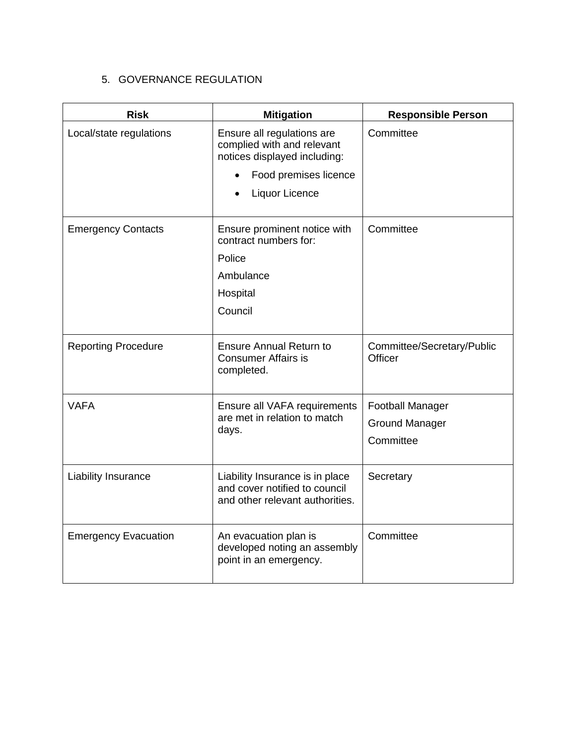# 5. GOVERNANCE REGULATION

| <b>Risk</b>                 | <b>Mitigation</b>                                                                                   | <b>Responsible Person</b>             |
|-----------------------------|-----------------------------------------------------------------------------------------------------|---------------------------------------|
| Local/state regulations     | Ensure all regulations are<br>complied with and relevant<br>notices displayed including:            | Committee                             |
|                             | Food premises licence                                                                               |                                       |
|                             | Liquor Licence                                                                                      |                                       |
| <b>Emergency Contacts</b>   | Ensure prominent notice with<br>contract numbers for:                                               | Committee                             |
|                             | Police                                                                                              |                                       |
|                             | Ambulance                                                                                           |                                       |
|                             | Hospital                                                                                            |                                       |
|                             | Council                                                                                             |                                       |
| <b>Reporting Procedure</b>  | <b>Ensure Annual Return to</b><br><b>Consumer Affairs is</b><br>completed.                          | Committee/Secretary/Public<br>Officer |
| <b>VAFA</b>                 | Ensure all VAFA requirements<br>are met in relation to match<br>days.                               | <b>Football Manager</b>               |
|                             |                                                                                                     | <b>Ground Manager</b>                 |
|                             |                                                                                                     | Committee                             |
| Liability Insurance         | Liability Insurance is in place<br>and cover notified to council<br>and other relevant authorities. | Secretary                             |
| <b>Emergency Evacuation</b> | An evacuation plan is<br>developed noting an assembly<br>point in an emergency.                     | Committee                             |